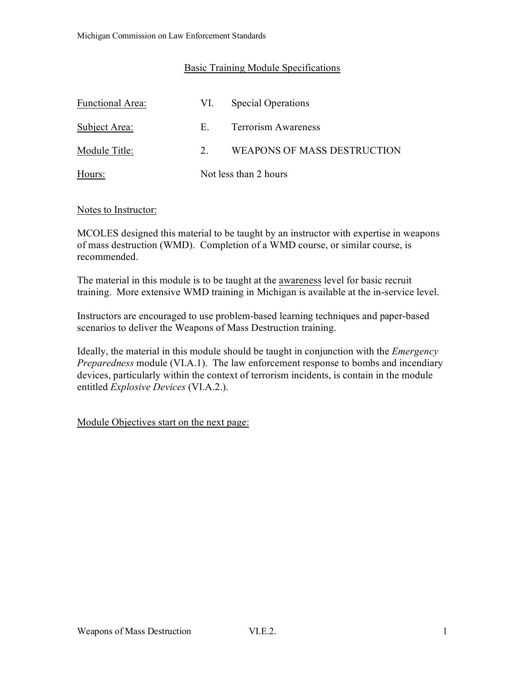### Basic Training Module Specifications

| Functional Area: | VI.                   | <b>Special Operations</b>   |
|------------------|-----------------------|-----------------------------|
| Subject Area:    | E.                    | <b>Terrorism Awareness</b>  |
| Module Title:    | $\mathcal{P}$         | WEAPONS OF MASS DESTRUCTION |
| Hours:           | Not less than 2 hours |                             |

### Notes to Instructor:

MCOLES designed this material to be taught by an instructor with expertise in weapons of mass destruction (WMD). Completion of a WMD course, or similar course, is recommended.

The material in this module is to be taught at the awareness level for basic recruit training. More extensive WMD training in Michigan is available at the in-service level.

Instructors are encouraged to use problem-based learning techniques and paper-based scenarios to deliver the Weapons of Mass Destruction training.

Ideally, the material in this module should be taught in conjunction with the *Emergency Preparedness* module (VI.A.1). The law enforcement response to bombs and incendiary devices, particularly within the context of terrorism incidents, is contain in the module entitled *Explosive Devices* (VI.A.2.).

Module Objectives start on the next page: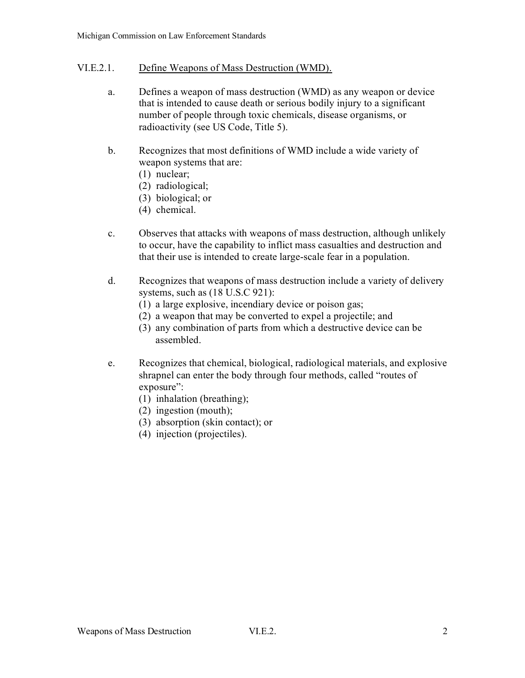# VI.E.2.1. Define Weapons of Mass Destruction (WMD).

- a. Defines a weapon of mass destruction (WMD) as any weapon or device that is intended to cause death or serious bodily injury to a significant number of people through toxic chemicals, disease organisms, or radioactivity (see US Code, Title 5).
- b. Recognizes that most definitions of WMD include a wide variety of weapon systems that are:
	- (1) nuclear;
	- (2) radiological;
	- (3) biological; or
	- (4) chemical.
- c. Observes that attacks with weapons of mass destruction, although unlikely to occur, have the capability to inflict mass casualties and destruction and that their use is intended to create large-scale fear in a population.
- d. Recognizes that weapons of mass destruction include a variety of delivery systems, such as (18 U.S.C 921):
	- (1) a large explosive, incendiary device or poison gas;
	- (2) a weapon that may be converted to expel a projectile; and
	- (3) any combination of parts from which a destructive device can be assembled.
- e. Recognizes that chemical, biological, radiological materials, and explosive shrapnel can enter the body through four methods, called "routes of exposure":
	- (1) inhalation (breathing);
	- (2) ingestion (mouth);
	- (3) absorption (skin contact); or
	- (4) injection (projectiles).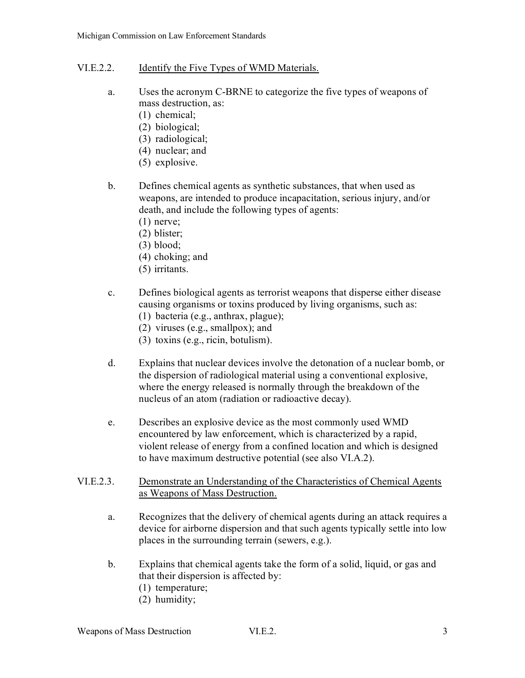- VI.E.2.2. Identify the Five Types of WMD Materials.
	- a. Uses the acronym C-BRNE to categorize the five types of weapons of mass destruction, as:
		- (1) chemical;
		- (2) biological;
		- (3) radiological;
		- (4) nuclear; and
		- (5) explosive.
	- b. Defines chemical agents as synthetic substances, that when used as weapons, are intended to produce incapacitation, serious injury, and/or death, and include the following types of agents:
		- (1) nerve;
		- (2) blister;
		- (3) blood;
		- (4) choking; and
		- (5) irritants.
	- c. Defines biological agents as terrorist weapons that disperse either disease causing organisms or toxins produced by living organisms, such as:
		- (1) bacteria (e.g., anthrax, plague);
		- (2) viruses (e.g., smallpox); and
		- (3) toxins (e.g., ricin, botulism).
	- d. Explains that nuclear devices involve the detonation of a nuclear bomb, or the dispersion of radiological material using a conventional explosive, where the energy released is normally through the breakdown of the nucleus of an atom (radiation or radioactive decay).
	- e. Describes an explosive device as the most commonly used WMD encountered by law enforcement, which is characterized by a rapid, violent release of energy from a confined location and which is designed to have maximum destructive potential (see also VI.A.2).
- VI.E.2.3. Demonstrate an Understanding of the Characteristics of Chemical Agents as Weapons of Mass Destruction.
	- a. Recognizes that the delivery of chemical agents during an attack requires a device for airborne dispersion and that such agents typically settle into low places in the surrounding terrain (sewers, e.g.).
	- b. Explains that chemical agents take the form of a solid, liquid, or gas and that their dispersion is affected by:
		- (1) temperature;
		- (2) humidity;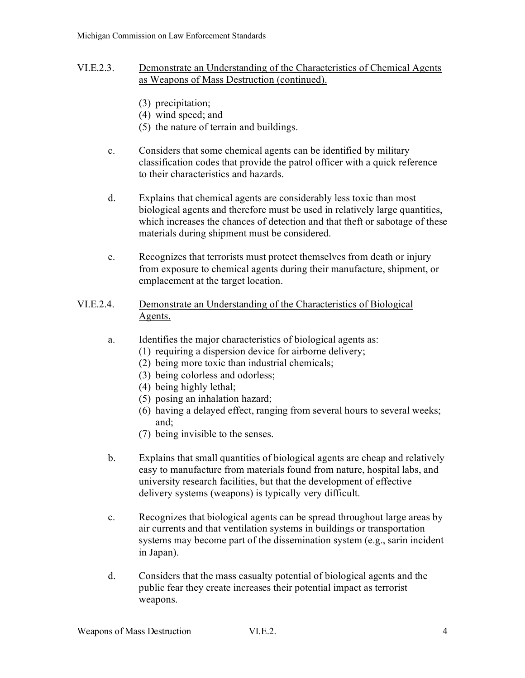- VI.E.2.3. Demonstrate an Understanding of the Characteristics of Chemical Agents as Weapons of Mass Destruction (continued).
	- (3) precipitation;
	- (4) wind speed; and
	- (5) the nature of terrain and buildings.
	- c. Considers that some chemical agents can be identified by military classification codes that provide the patrol officer with a quick reference to their characteristics and hazards.
	- d. Explains that chemical agents are considerably less toxic than most biological agents and therefore must be used in relatively large quantities, which increases the chances of detection and that theft or sabotage of these materials during shipment must be considered.
	- e. Recognizes that terrorists must protect themselves from death or injury from exposure to chemical agents during their manufacture, shipment, or emplacement at the target location.
- VI.E.2.4. Demonstrate an Understanding of the Characteristics of Biological Agents.
	- a. Identifies the major characteristics of biological agents as:
		- (1) requiring a dispersion device for airborne delivery;
		- (2) being more toxic than industrial chemicals;
		- (3) being colorless and odorless;
		- (4) being highly lethal;
		- (5) posing an inhalation hazard;
		- (6) having a delayed effect, ranging from several hours to several weeks; and;
		- (7) being invisible to the senses.
	- b. Explains that small quantities of biological agents are cheap and relatively easy to manufacture from materials found from nature, hospital labs, and university research facilities, but that the development of effective delivery systems (weapons) is typically very difficult.
	- c. Recognizes that biological agents can be spread throughout large areas by air currents and that ventilation systems in buildings or transportation systems may become part of the dissemination system (e.g., sarin incident in Japan).
	- d. Considers that the mass casualty potential of biological agents and the public fear they create increases their potential impact as terrorist weapons.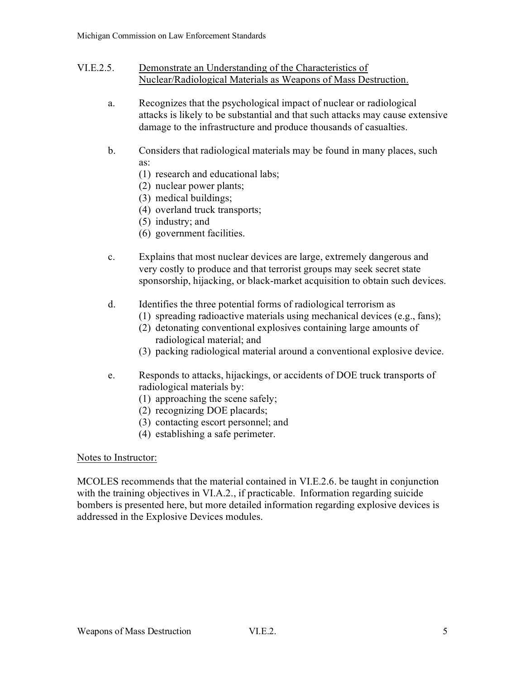- VI.E.2.5. Demonstrate an Understanding of the Characteristics of Nuclear/Radiological Materials as Weapons of Mass Destruction.
	- a. Recognizes that the psychological impact of nuclear or radiological attacks is likely to be substantial and that such attacks may cause extensive damage to the infrastructure and produce thousands of casualties.
	- b. Considers that radiological materials may be found in many places, such as:
		- (1) research and educational labs;
		- (2) nuclear power plants;
		- (3) medical buildings;
		- (4) overland truck transports;
		- (5) industry; and
		- (6) government facilities.
	- c. Explains that most nuclear devices are large, extremely dangerous and very costly to produce and that terrorist groups may seek secret state sponsorship, hijacking, or black-market acquisition to obtain such devices.
	- d. Identifies the three potential forms of radiological terrorism as
		- (1) spreading radioactive materials using mechanical devices (e.g., fans);
		- (2) detonating conventional explosives containing large amounts of radiological material; and
		- (3) packing radiological material around a conventional explosive device.
	- e. Responds to attacks, hijackings, or accidents of DOE truck transports of radiological materials by:
		- (1) approaching the scene safely;
		- (2) recognizing DOE placards;
		- (3) contacting escort personnel; and
		- (4) establishing a safe perimeter.

# Notes to Instructor:

MCOLES recommends that the material contained in VI.E.2.6. be taught in conjunction with the training objectives in VI.A.2., if practicable. Information regarding suicide bombers is presented here, but more detailed information regarding explosive devices is addressed in the Explosive Devices modules.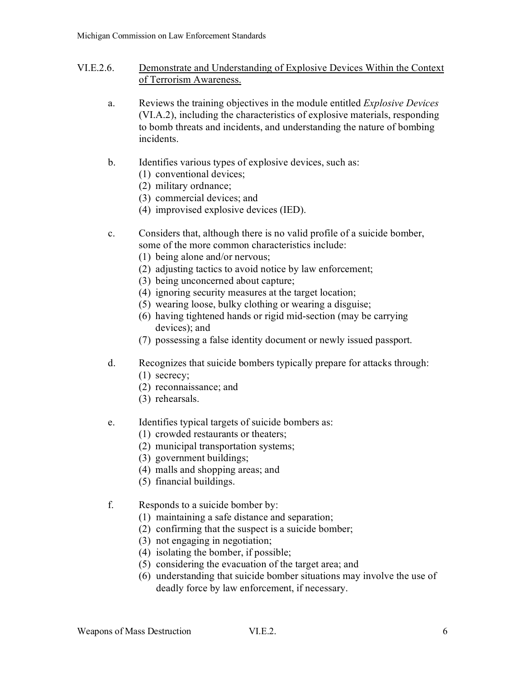- VI.E.2.6. Demonstrate and Understanding of Explosive Devices Within the Context of Terrorism Awareness.
	- a. Reviews the training objectives in the module entitled *Explosive Devices*  (VI.A.2), including the characteristics of explosive materials, responding to bomb threats and incidents, and understanding the nature of bombing incidents.
	- b. Identifies various types of explosive devices, such as:
		- (1) conventional devices;
		- (2) military ordnance;
		- (3) commercial devices; and
		- (4) improvised explosive devices (IED).
	- c. Considers that, although there is no valid profile of a suicide bomber, some of the more common characteristics include:
		- (1) being alone and/or nervous;
		- (2) adjusting tactics to avoid notice by law enforcement;
		- (3) being unconcerned about capture;
		- (4) ignoring security measures at the target location;
		- (5) wearing loose, bulky clothing or wearing a disguise;
		- (6) having tightened hands or rigid mid-section (may be carrying devices); and
		- (7) possessing a false identity document or newly issued passport.
	- d. Recognizes that suicide bombers typically prepare for attacks through:
		- (1) secrecy;
		- (2) reconnaissance; and
		- (3) rehearsals.
	- e. Identifies typical targets of suicide bombers as:
		- (1) crowded restaurants or theaters;
		- (2) municipal transportation systems;
		- (3) government buildings;
		- (4) malls and shopping areas; and
		- (5) financial buildings.
	- f. Responds to a suicide bomber by:
		- (1) maintaining a safe distance and separation;
		- (2) confirming that the suspect is a suicide bomber;
		- (3) not engaging in negotiation;
		- (4) isolating the bomber, if possible;
		- (5) considering the evacuation of the target area; and
		- (6) understanding that suicide bomber situations may involve the use of deadly force by law enforcement, if necessary.